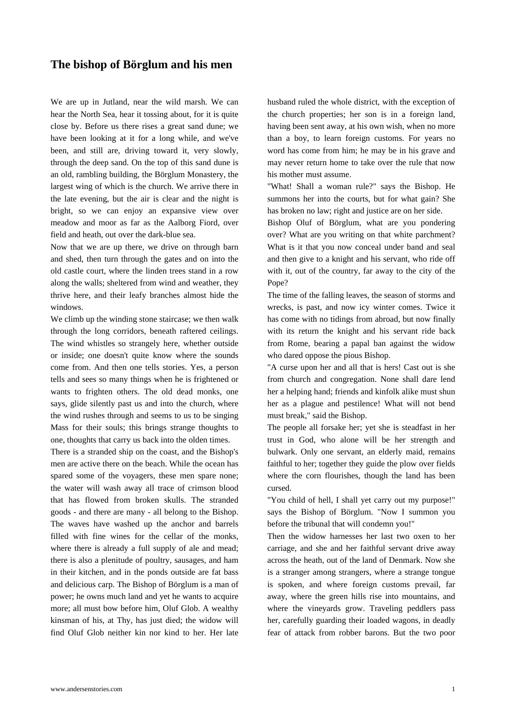## **The bishop of Börglum and his men**

[We are up in Jutland, near the wild marsh. We ca](https://www.andersenstories.com/en/andersen_fairy-tales/the_bishop_of_borglum_and_his_men)n hear the North Sea, hear it tossing about, for it is quite close by. Before us there rises a great sand dune; we have been looking at it for a long while, and we've been, and still are, driving toward it, very slowly, through the deep sand. On the top of this sand dune is an old, rambling building, the Börglum Monastery, the largest wing of which is the church. We arrive there in the late evening, but the air is clear and the night is bright, so we can enjoy an expansive view over meadow and moor as far as the Aalborg Fiord, over field and heath, out over the dark-blue sea.

Now that we are up there, we drive on through barn and shed, then turn through the gates and on into the old castle court, where the linden trees stand in a row along the walls; sheltered from wind and weather, they thrive here, and their leafy branches almost hide the windows.

We climb up the winding stone staircase; we then walk through the long corridors, beneath raftered ceilings. The wind whistles so strangely here, whether outside or inside; one doesn't quite know where the sounds come from. And then one tells stories. Yes, a person tells and sees so many things when he is frightened or wants to frighten others. The old dead monks, one says, glide silently past us and into the church, where the wind rushes through and seems to us to be singing Mass for their souls; this brings strange thoughts to one, thoughts that carry us back into the olden times.

There is a stranded ship on the coast, and the Bishop's men are active there on the beach. While the ocean has spared some of the voyagers, these men spare none; the water will wash away all trace of crimson blood that has flowed from broken skulls. The stranded goods - and there are many - all belong to the Bishop. The waves have washed up the anchor and barrels filled with fine wines for the cellar of the monks, where there is already a full supply of ale and mead; there is also a plenitude of poultry, sausages, and ham in their kitchen, and in the ponds outside are fat bass and delicious carp. The Bishop of Börglum is a man of power; he owns much land and yet he wants to acquire more; all must bow before him, Oluf Glob. A wealthy kinsman of his, at Thy, has just died; the widow will find Oluf Glob neither kin nor kind to her. Her late husband ruled the whole district, with the exception of the church properties; her son is in a foreign land, having been sent away, at his own wish, when no more than a boy, to learn foreign customs. For years no word has come from him; he may be in his grave and may never return home to take over the rule that now his mother must assume.

"What! Shall a woman rule?" says the Bishop. He summons her into the courts, but for what gain? She has broken no law; right and justice are on her side.

Bishop Oluf of Börglum, what are you pondering over? What are you writing on that white parchment? What is it that you now conceal under band and seal and then give to a knight and his servant, who ride off with it, out of the country, far away to the city of the Pope?

The time of the falling leaves, the season of storms and wrecks, is past, and now icy winter comes. Twice it has come with no tidings from abroad, but now finally with its return the knight and his servant ride back from Rome, bearing a papal ban against the widow who dared oppose the pious Bishop.

"A curse upon her and all that is hers! Cast out is she from church and congregation. None shall dare lend her a helping hand; friends and kinfolk alike must shun her as a plague and pestilence! What will not bend must break," said the Bishop.

The people all forsake her; yet she is steadfast in her trust in God, who alone will be her strength and bulwark. Only one servant, an elderly maid, remains faithful to her; together they guide the plow over fields where the corn flourishes, though the land has been cursed.

"You child of hell, I shall yet carry out my purpose!" says the Bishop of Börglum. "Now I summon you before the tribunal that will condemn you!"

Then the widow harnesses her last two oxen to her carriage, and she and her faithful servant drive away across the heath, out of the land of Denmark. Now she is a stranger among strangers, where a strange tongue is spoken, and where foreign customs prevail, far away, where the green hills rise into mountains, and where the vineyards grow. Traveling peddlers pass her, carefully guarding their loaded wagons, in deadly fear of attack from robber barons. But the two poor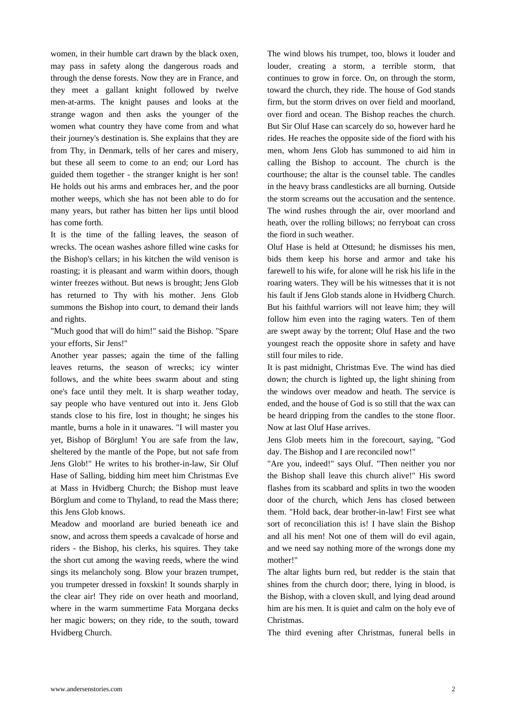women, in their humble cart drawn by the black oxen, may pass in safety along the dangerous roads and through the dense forests. Now they are in France, and they meet a gallant knight followed by twelve men-at-arms. The knight pauses and looks at the strange wagon and then asks the younger of the women what country they have come from and what their journey's destination is. She explains that they are from Thy, in Denmark, tells of her cares and misery, but these all seem to come to an end; our Lord has guided them together - the stranger knight is her son! He holds out his arms and embraces her, and the poor mother weeps, which she has not been able to do for many years, but rather has bitten her lips until blood has come forth.

It is the time of the falling leaves, the season of wrecks. The ocean washes ashore filled wine casks for the Bishop's cellars; in his kitchen the wild venison is roasting; it is pleasant and warm within doors, though winter freezes without. But news is brought; Jens Glob has returned to Thy with his mother. Jens Glob summons the Bishop into court, to demand their lands and rights.

"Much good that will do him!" said the Bishop. "Spare your efforts, Sir Jens!"

Another year passes; again the time of the falling leaves returns, the season of wrecks; icy winter follows, and the white bees swarm about and sting one's face until they melt. It is sharp weather today, say people who have ventured out into it. Jens Glob stands close to his fire, lost in thought; he singes his mantle, burns a hole in it unawares. "I will master you yet, Bishop of Börglum! You are safe from the law, sheltered by the mantle of the Pope, but not safe from Jens Glob!" He writes to his brother-in-law, Sir Oluf Hase of Salling, bidding him meet him Christmas Eve at Mass in Hvidberg Church; the Bishop must leave Börglum and come to Thyland, to read the Mass there; this Jens Glob knows.

Meadow and moorland are buried beneath ice and snow, and across them speeds a cavalcade of horse and riders - the Bishop, his clerks, his squires. They take the short cut among the waving reeds, where the wind sings its melancholy song. Blow your brazen trumpet, you trumpeter dressed in foxskin! It sounds sharply in the clear air! They ride on over heath and moorland, where in the warm summertime Fata Morgana decks her magic bowers; on they ride, to the south, toward Hvidberg Church.

The wind blows his trumpet, too, blows it louder and louder, creating a storm, a terrible storm, that continues to grow in force. On, on through the storm, toward the church, they ride. The house of God stands firm, but the storm drives on over field and moorland, over fiord and ocean. The Bishop reaches the church. But Sir Oluf Hase can scarcely do so, however hard he rides. He reaches the opposite side of the fiord with his men, whom Jens Glob has summoned to aid him in calling the Bishop to account. The church is the courthouse; the altar is the counsel table. The candles in the heavy brass candlesticks are all burning. Outside the storm screams out the accusation and the sentence. The wind rushes through the air, over moorland and heath, over the rolling billows; no ferryboat can cross the fiord in such weather.

Oluf Hase is held at Ottesund; he dismisses his men, bids them keep his horse and armor and take his farewell to his wife, for alone will he risk his life in the roaring waters. They will be his witnesses that it is not his fault if Jens Glob stands alone in Hvidberg Church. But his faithful warriors will not leave him; they will follow him even into the raging waters. Ten of them are swept away by the torrent; Oluf Hase and the two youngest reach the opposite shore in safety and have still four miles to ride.

It is past midnight, Christmas Eve. The wind has died down; the church is lighted up, the light shining from the windows over meadow and heath. The service is ended, and the house of God is so still that the wax can be heard dripping from the candles to the stone floor. Now at last Oluf Hase arrives.

Jens Glob meets him in the forecourt, saying, "God day. The Bishop and I are reconciled now!"

"Are you, indeed!" says Oluf. "Then neither you nor the Bishop shall leave this church alive!" His sword flashes from its scabbard and splits in two the wooden door of the church, which Jens has closed between them. "Hold back, dear brother-in-law! First see what sort of reconciliation this is! I have slain the Bishop and all his men! Not one of them will do evil again, and we need say nothing more of the wrongs done my mother!"

The altar lights burn red, but redder is the stain that shines from the church door; there, lying in blood, is the Bishop, with a cloven skull, and lying dead around him are his men. It is quiet and calm on the holy eve of Christmas.

The third evening after Christmas, funeral bells in